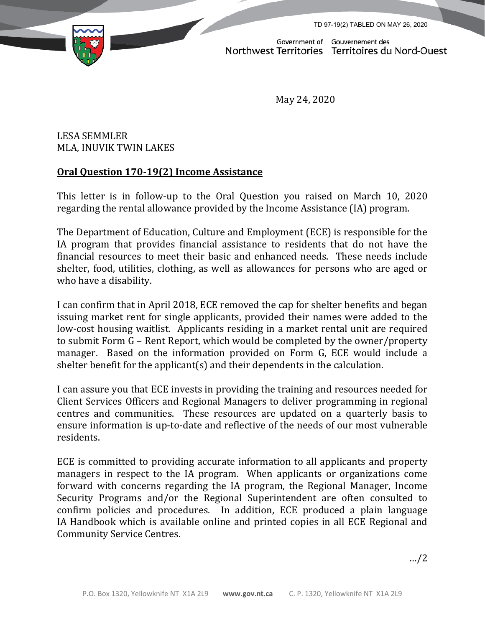TD 97-19(2) TABLED ON MAY 26, 2020



Government of Gouvernement des<br>Northwest Territories Territoires du Nord-Ouest

May 24, 2020

LESA SEMMLER MLA, INUVIK TWIN LAKES

## **Oral Question 170-19(2) Income Assistance**

This letter is in follow-up to the Oral Question you raised on March 10, 2020 regarding the rental allowance provided by the Income Assistance (IA) program.

The Department of Education, Culture and Employment (ECE) is responsible for the IA program that provides financial assistance to residents that do not have the financial resources to meet their basic and enhanced needs. These needs include shelter, food, utilities, clothing, as well as allowances for persons who are aged or who have a disability.

I can confirm that in April 2018, ECE removed the cap for shelter benefits and began issuing market rent for single applicants, provided their names were added to the low-cost housing waitlist. Applicants residing in a market rental unit are required to submit Form G – Rent Report, which would be completed by the owner/property manager. Based on the information provided on Form G, ECE would include a shelter benefit for the applicant(s) and their dependents in the calculation.

I can assure you that ECE invests in providing the training and resources needed for Client Services Officers and Regional Managers to deliver programming in regional centres and communities. These resources are updated on a quarterly basis to ensure information is up-to-date and reflective of the needs of our most vulnerable residents.

ECE is committed to providing accurate information to all applicants and property managers in respect to the IA program. When applicants or organizations come forward with concerns regarding the IA program, the Regional Manager, Income Security Programs and/or the Regional Superintendent are often consulted to confirm policies and procedures. In addition, ECE produced a plain language IA Handbook which is available online and printed copies in all ECE Regional and Community Service Centres.

…/2